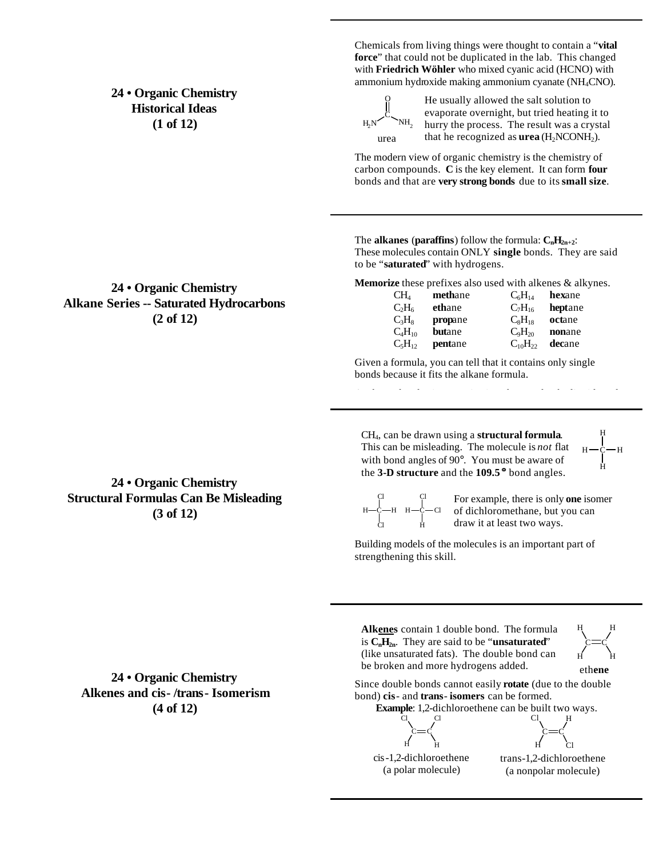## **24 • Organic Chemistry Historical Ideas (1 of 12)**

**24 • Organic Chemistry Alkane Series -- Saturated Hydrocarbons (2 of 12)**

Chemicals from living things were thought to contain a "**vital force**" that could not be duplicated in the lab. This changed with **Friedrich Wöhler** who mixed cyanic acid (HCNO) with ammonium hydroxide making ammonium cyanate (NH4CNO).



He usually allowed the salt solution to evaporate overnight, but tried heating it to hurry the process. The result was a crystal that he recognized as  $$ 

The modern view of organic chemistry is the chemistry of carbon compounds. **C** is the key element. It can form **four** bonds and that are **very strong bonds** due to its **small size**.

The **alkanes** (**paraffins**) follow the formula:  $C_nH_{2n+2}$ : These molecules contain ONLY **single** bonds. They are said to be "**saturated**" with hydrogens.

**Memorize** these prefixes also used with alkenes & alkynes.

| CH <sub>4</sub> | methane       | $C_6H_{14}$    | hexane  |
|-----------------|---------------|----------------|---------|
| $C_2H_6$        | ethane        | $C_7H_{16}$    | heptane |
| $C_3H_8$        | propane       | $C_8H_{18}$    | octane  |
| $C_4H_{10}$     | <b>butane</b> | $C_9H_{20}$    | nonane  |
| $C_5H_{12}$     | pentane       | $C_{10}H_{22}$ | decane  |

Given a formula, you can tell that it contains only single bonds because it fits the alkane formula.

CH4, can be drawn using a **structural formula**. This can be misleading. The molecule is *not* flat with bond angles of 90°. You must be aware of the **3-D structure** and the **109.5 °** bond angles.

C H H H H

## C Cl н—с—н Cl C H н—с—сі

Cl For example, there is only **one** isomer of dichloromethane, but you can draw it at least two ways.

Building models of the molecules is an important part of strengthening this skill.

Since double bonds cannot easily **rotate** (due to the double

**Alkenes** contain 1 double bond. The formula is  $C_nH_{2n}$ . They are said to be "**unsaturated**" (like unsaturated fats). The double bond can be broken and more hydrogens added.

**24 • Organic Chemistry Alkenes and cis- /trans- Isomerism (4 of 12)**

**Example**: 1,2-dichloroethene can be built two ways. C Cl Cl H

bond) **cis**- and **trans**- **isomers** can be formed.

C H C Cl H Cl

C H

eth**ene**

C H H

H

cis-1,2-dichloroethene (a polar molecule)

C H

> trans-1,2-dichloroethene (a nonpolar molecule)

**24 • Organic Chemistry Structural Formulas Can Be Misleading (3 of 12)**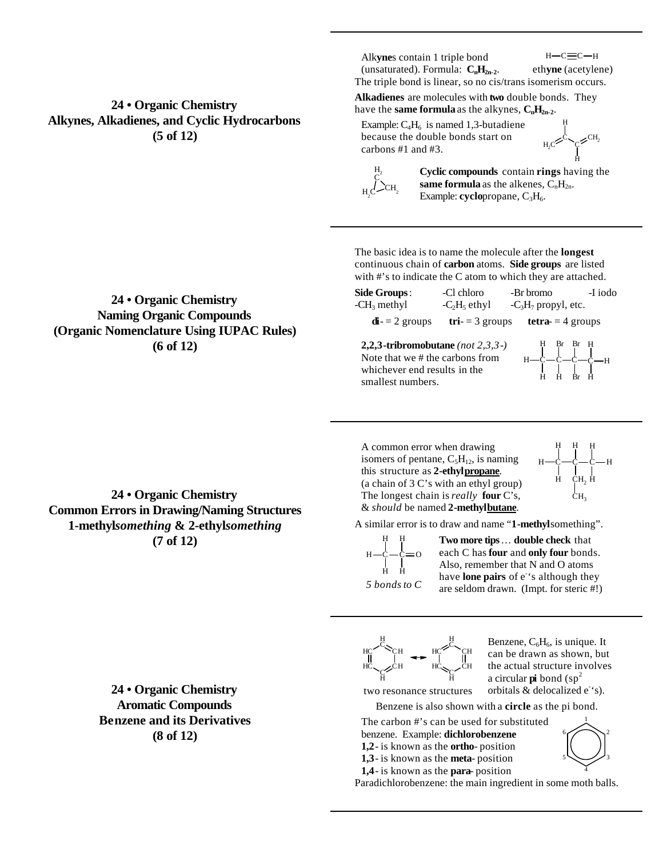**24 • Organic Chemistry Alkynes, Alkadienes, and Cyclic Hydrocarbons (5 of 12)**

**24 • Organic Chemistry Naming Organic Compounds (Organic Nomenclature Using IUPAC Rules) (6 of 12)**

Alk**yne**s contain 1 triple bond (unsaturated). Formula:  $C_nH_{2n-2}$ .

 $H - C \equiv C - H$ eth**yne** (acetylene)

The triple bond is linear, so no cis/trans isomerism occurs.

**Alkadienes** are molecules with **two** double bonds. They have the **same formula** as the alkynes,  $C_nH_{2n-2}$ .

Example:  $C_4H_6$  is named 1,3-butadiene because the double bonds start on carbons #1 and #3.

 $H_2C^2$ CH<sub>2</sub> H H



**Cyclic compounds** contain **rings** having the **same formula** as the alkenes,  $C_nH_{2n}$ . Example: **cyclo**propane, C<sub>3</sub>H<sub>6</sub>.

The basic idea is to name the molecule after the **longest** continuous chain of **carbon** atoms. **Side groups** are listed with #'s to indicate the C atom to which they are attached.

| <b>Side Groups:</b>                                                                  | -Cl chloro              | -Br bromo                          | -I iodo |
|--------------------------------------------------------------------------------------|-------------------------|------------------------------------|---------|
| $-CH3$ methyl                                                                        | $-C2H5$ ethyl           | $-C_3H_7$ propyl, etc.             |         |
| $\mathbf{di} = 2$ groups                                                             |                         | $tri = 3$ groups tetra- = 4 groups |         |
| 2,2,3-tribromobutane (not $2,3,3$ -)                                                 | $H - C - C - C - C - H$ |                                    |         |
| Note that we # the carbons from<br>whichever end results in the<br>smallest numbers. |                         |                                    |         |

A common error when drawing isomers of pentane,  $C_5H_{12}$ , is naming this structure as **2-ethylpropane**. (a chain of 3 C's with an ethyl group) The longest chain is *really* **four** C's, & *should* be named **2-methylbutane**.



A similar error is to draw and name "**1-methyl**something".

 $H - C - C = 0$ H H H H *5 bonds to C*

**Two more tips**… **double check** that have **lone pairs** of e<sup>-</sup>'s although they are seldom drawn. (Impt. for steric #!)

HC

 $H_{C}$ <sub>C</sub> $\sim$ CH H

each C has **four** and **only four** bonds. Also, remember that N and O atoms

<sup>С</sup> $\lesssim_{\rm CH}$  нс H  $\rm \bar{c}_{\rm CH}$ H

Benzene, C<sub>6</sub>H<sub>6</sub>, is unique. It can be drawn as shown, but the actual structure involves a circular  $pi$  bond (sp<sup>2</sup>) orbitals  $&$  delocalized  $e^{\cdot s}$ .

Benzene is also shown with a **circle** as the pi bond.

The carbon #'s can be used for substituted benzene. Example: **dichlorobenzene 1,2**- is known as the **ortho**- position **1,3**- is known as the **meta**- position

 $H C \propto_C C H$ H

**1,4**- is known as the **para**- position

two resonance structures



Paradichlorobenzene: the main ingredient in some moth balls.

**24 • Organic Chemistry Common Errors in Drawing/Naming Structures 1-methyl***something* **& 2-ethyl***something*

**(7 of 12)**

**24 • Organic Chemistry Aromatic Compounds Benzene and its Derivatives (8 of 12)**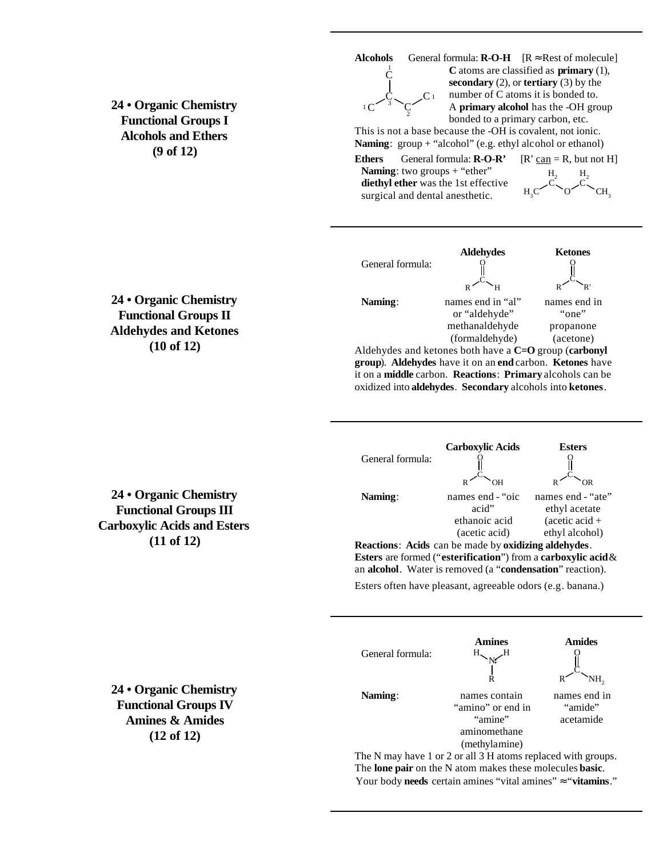**24 • Organic Chemistry Functional Groups I Alcohols and Ethers (9 of 12)**



**Alcohols** General formula:  $\mathbf{R}\text{-}\mathbf{O}\text{-}\mathbf{H}$   $[\mathbf{R} \approx \text{Rest of molecule}]$ <sup>1</sup> **C** atoms are classified as **primary** (1), **secondary** (2), or **tertiary** (3) by the number of C atoms it is bonded to. A **primary alcohol** has the -OH group bonded to a primary carbon, etc.

This is not a base because the -OH is covalent, not ionic. Naming: group + "alcohol" (e.g. ethyl alcohol or ethanol)

**Ethers** General formula:  $\mathbf{R}\text{-O-R'}$   $[\mathbf{R'}\text{can} = \mathbf{R}$ , but not H] **Naming**: two groups + "ether" **diethyl ether** was the 1st effective surgical and dental anesthetic.



**Aldehydes Ketones** General formula: R C H O R C R' O **Naming**: names end in "al" or "aldehyde" methanaldehyde (formaldehyde) names end in "one" propanone (acetone) Aldehydes and ketones both have a **C=O** group (**carbonyl** 

**group**). **Aldehydes** have it on an **end** carbon. **Ketones** have it on a **middle** carbon. **Reactions**: **Primary** alcohols can be oxidized into **aldehydes**. **Secondary** alcohols into **ketones**.

|                  | <b>Carboxylic Acids</b> | <b>Esters</b>           |
|------------------|-------------------------|-------------------------|
| General formula: |                         |                         |
|                  | OН                      | ΩR                      |
| Naming:          | names end - "oic        | names end - "ate"       |
|                  | acid"                   | ethyl acetate           |
|                  | ethanoic acid           | $(\text{acetic acid} +$ |
|                  | (acetic acid)           | ethyl alcohol)          |

**Reactions**: **Acids** can be made by **oxidizing aldehydes**. **Esters** are formed ("**esterification**") from a **carboxylic acid** & an **alcohol**. Water is removed (a "**condensation**" reaction).

Esters often have pleasant, agreeable odors (e.g. banana.)



The N may have 1 or 2 or all 3 H atoms replaced with groups. The **lone pair** on the N atom makes these molecules **basic**. Your body **needs** certain amines "vital amines" ≈ "**vitamins**."

**24 • Organic Chemistry Functional Groups II Aldehydes and Ketones (10 of 12)**

**24 • Organic Chemistry Functional Groups III Carboxylic Acids and Esters (11 of 12)**

**24 • Organic Chemistry Functional Groups IV Amines & Amides (12 of 12)**